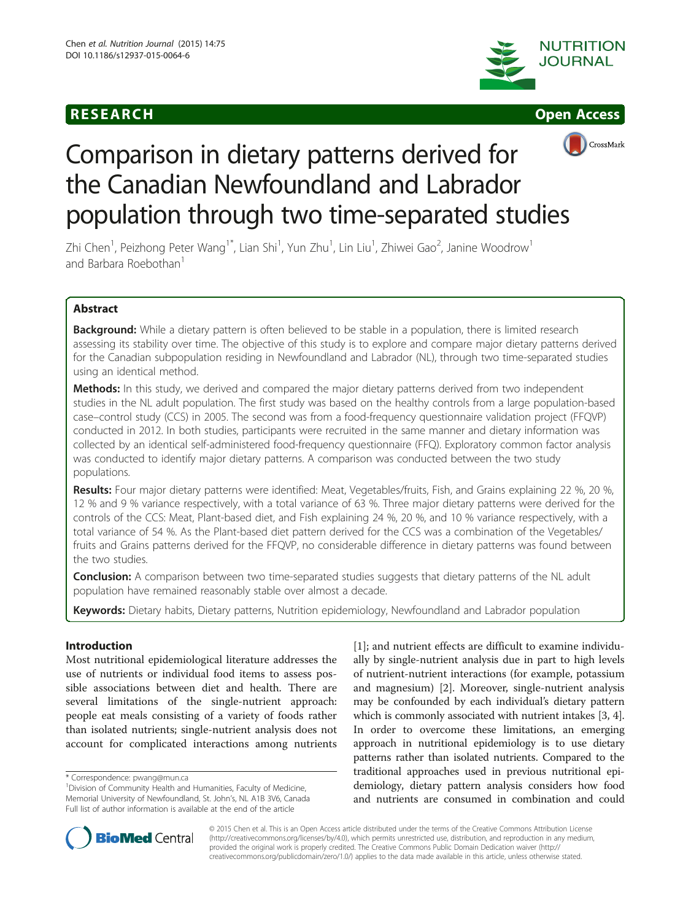## **RESEARCH CHINESE ARCH CHINESE ARCH CHINESE ARCH**







# Comparison in dietary patterns derived for the Canadian Newfoundland and Labrador population through two time-separated studies

Zhi Chen<sup>1</sup>, Peizhong Peter Wang<sup>1\*</sup>, Lian Shi<sup>1</sup>, Yun Zhu<sup>1</sup>, Lin Liu<sup>1</sup>, Zhiwei Gao<sup>2</sup>, Janine Woodrow<sup>1</sup> and Barbara Roebothan<sup>1</sup>

## Abstract

Background: While a dietary pattern is often believed to be stable in a population, there is limited research assessing its stability over time. The objective of this study is to explore and compare major dietary patterns derived for the Canadian subpopulation residing in Newfoundland and Labrador (NL), through two time-separated studies using an identical method.

**Methods:** In this study, we derived and compared the major dietary patterns derived from two independent studies in the NL adult population. The first study was based on the healthy controls from a large population-based case–control study (CCS) in 2005. The second was from a food-frequency questionnaire validation project (FFQVP) conducted in 2012. In both studies, participants were recruited in the same manner and dietary information was collected by an identical self-administered food-frequency questionnaire (FFQ). Exploratory common factor analysis was conducted to identify major dietary patterns. A comparison was conducted between the two study populations.

Results: Four major dietary patterns were identified: Meat, Vegetables/fruits, Fish, and Grains explaining 22 %, 20 %, 12 % and 9 % variance respectively, with a total variance of 63 %. Three major dietary patterns were derived for the controls of the CCS: Meat, Plant-based diet, and Fish explaining 24 %, 20 %, and 10 % variance respectively, with a total variance of 54 %. As the Plant-based diet pattern derived for the CCS was a combination of the Vegetables/ fruits and Grains patterns derived for the FFQVP, no considerable difference in dietary patterns was found between the two studies.

**Conclusion:** A comparison between two time-separated studies suggests that dietary patterns of the NL adult population have remained reasonably stable over almost a decade.

Keywords: Dietary habits, Dietary patterns, Nutrition epidemiology, Newfoundland and Labrador population

## Introduction

Most nutritional epidemiological literature addresses the use of nutrients or individual food items to assess possible associations between diet and health. There are several limitations of the single-nutrient approach: people eat meals consisting of a variety of foods rather than isolated nutrients; single-nutrient analysis does not account for complicated interactions among nutrients

[[1\]](#page-7-0); and nutrient effects are difficult to examine individually by single-nutrient analysis due in part to high levels of nutrient-nutrient interactions (for example, potassium and magnesium) [\[2\]](#page-7-0). Moreover, single-nutrient analysis may be confounded by each individual's dietary pattern which is commonly associated with nutrient intakes [[3, 4](#page-7-0)]. In order to overcome these limitations, an emerging approach in nutritional epidemiology is to use dietary patterns rather than isolated nutrients. Compared to the traditional approaches used in previous nutritional epidemiology, dietary pattern analysis considers how food and nutrients are consumed in combination and could



© 2015 Chen et al. This is an Open Access article distributed under the terms of the Creative Commons Attribution License [\(http://creativecommons.org/licenses/by/4.0\)](http://creativecommons.org/licenses/by/4.0), which permits unrestricted use, distribution, and reproduction in any medium, provided the original work is properly credited. The Creative Commons Public Domain Dedication waiver [\(http://](http://creativecommons.org/publicdomain/zero/1.0/) [creativecommons.org/publicdomain/zero/1.0/\)](http://creativecommons.org/publicdomain/zero/1.0/) applies to the data made available in this article, unless otherwise stated.

<sup>\*</sup> Correspondence: [pwang@mun.ca](mailto:pwang@mun.ca) <sup>1</sup>

<sup>&</sup>lt;sup>1</sup> Division of Community Health and Humanities, Faculty of Medicine, Memorial University of Newfoundland, St. John's, NL A1B 3V6, Canada Full list of author information is available at the end of the article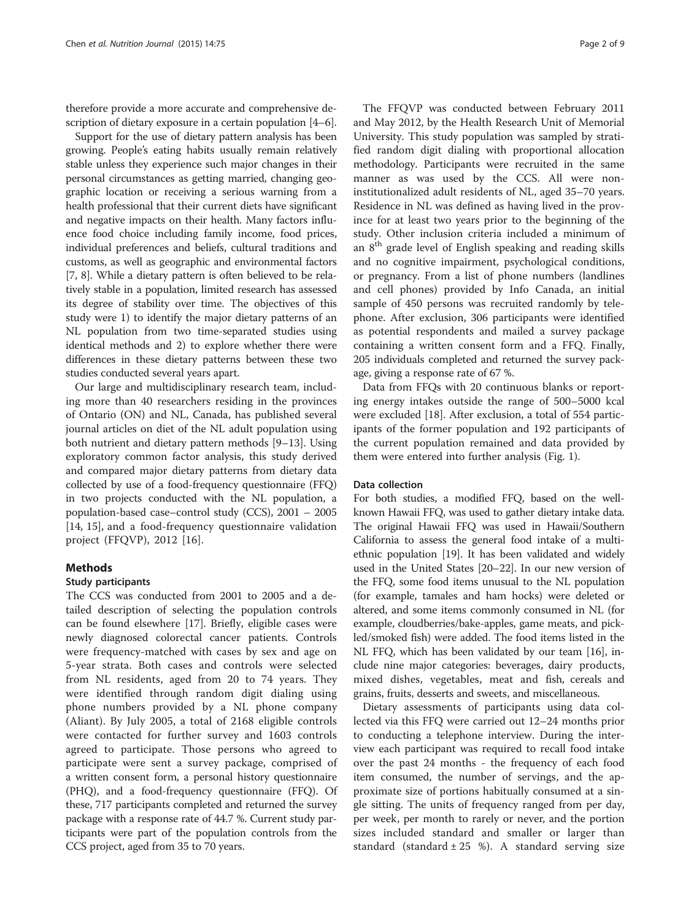therefore provide a more accurate and comprehensive description of dietary exposure in a certain population [[4](#page-7-0)–[6](#page-7-0)].

Support for the use of dietary pattern analysis has been growing. People's eating habits usually remain relatively stable unless they experience such major changes in their personal circumstances as getting married, changing geographic location or receiving a serious warning from a health professional that their current diets have significant and negative impacts on their health. Many factors influence food choice including family income, food prices, individual preferences and beliefs, cultural traditions and customs, as well as geographic and environmental factors [[7, 8\]](#page-7-0). While a dietary pattern is often believed to be relatively stable in a population, limited research has assessed its degree of stability over time. The objectives of this study were 1) to identify the major dietary patterns of an NL population from two time-separated studies using identical methods and 2) to explore whether there were differences in these dietary patterns between these two studies conducted several years apart.

Our large and multidisciplinary research team, including more than 40 researchers residing in the provinces of Ontario (ON) and NL, Canada, has published several journal articles on diet of the NL adult population using both nutrient and dietary pattern methods [[9](#page-7-0)–[13\]](#page-7-0). Using exploratory common factor analysis, this study derived and compared major dietary patterns from dietary data collected by use of a food-frequency questionnaire (FFQ) in two projects conducted with the NL population, a population-based case–control study (CCS), 2001 – 2005 [[14](#page-7-0), [15](#page-7-0)], and a food-frequency questionnaire validation project (FFQVP), 2012 [\[16](#page-7-0)].

#### Methods

#### Study participants

The CCS was conducted from 2001 to 2005 and a detailed description of selecting the population controls can be found elsewhere [[17](#page-7-0)]. Briefly, eligible cases were newly diagnosed colorectal cancer patients. Controls were frequency-matched with cases by sex and age on 5-year strata. Both cases and controls were selected from NL residents, aged from 20 to 74 years. They were identified through random digit dialing using phone numbers provided by a NL phone company (Aliant). By July 2005, a total of 2168 eligible controls were contacted for further survey and 1603 controls agreed to participate. Those persons who agreed to participate were sent a survey package, comprised of a written consent form, a personal history questionnaire (PHQ), and a food-frequency questionnaire (FFQ). Of these, 717 participants completed and returned the survey package with a response rate of 44.7 %. Current study participants were part of the population controls from the CCS project, aged from 35 to 70 years.

The FFQVP was conducted between February 2011 and May 2012, by the Health Research Unit of Memorial University. This study population was sampled by stratified random digit dialing with proportional allocation methodology. Participants were recruited in the same manner as was used by the CCS. All were noninstitutionalized adult residents of NL, aged 35–70 years. Residence in NL was defined as having lived in the province for at least two years prior to the beginning of the study. Other inclusion criteria included a minimum of an 8<sup>th</sup> grade level of English speaking and reading skills and no cognitive impairment, psychological conditions, or pregnancy. From a list of phone numbers (landlines and cell phones) provided by Info Canada, an initial sample of 450 persons was recruited randomly by telephone. After exclusion, 306 participants were identified as potential respondents and mailed a survey package containing a written consent form and a FFQ. Finally, 205 individuals completed and returned the survey package, giving a response rate of 67 %.

Data from FFQs with 20 continuous blanks or reporting energy intakes outside the range of 500–5000 kcal were excluded [\[18](#page-7-0)]. After exclusion, a total of 554 participants of the former population and 192 participants of the current population remained and data provided by them were entered into further analysis (Fig. [1\)](#page-2-0).

#### Data collection

For both studies, a modified FFQ, based on the wellknown Hawaii FFQ, was used to gather dietary intake data. The original Hawaii FFQ was used in Hawaii/Southern California to assess the general food intake of a multiethnic population [\[19\]](#page-7-0). It has been validated and widely used in the United States [\[20](#page-7-0)–[22](#page-7-0)]. In our new version of the FFQ, some food items unusual to the NL population (for example, tamales and ham hocks) were deleted or altered, and some items commonly consumed in NL (for example, cloudberries/bake-apples, game meats, and pickled/smoked fish) were added. The food items listed in the NL FFQ, which has been validated by our team [[16](#page-7-0)], include nine major categories: beverages, dairy products, mixed dishes, vegetables, meat and fish, cereals and grains, fruits, desserts and sweets, and miscellaneous.

Dietary assessments of participants using data collected via this FFQ were carried out 12–24 months prior to conducting a telephone interview. During the interview each participant was required to recall food intake over the past 24 months - the frequency of each food item consumed, the number of servings, and the approximate size of portions habitually consumed at a single sitting. The units of frequency ranged from per day, per week, per month to rarely or never, and the portion sizes included standard and smaller or larger than standard (standard  $\pm 25$  %). A standard serving size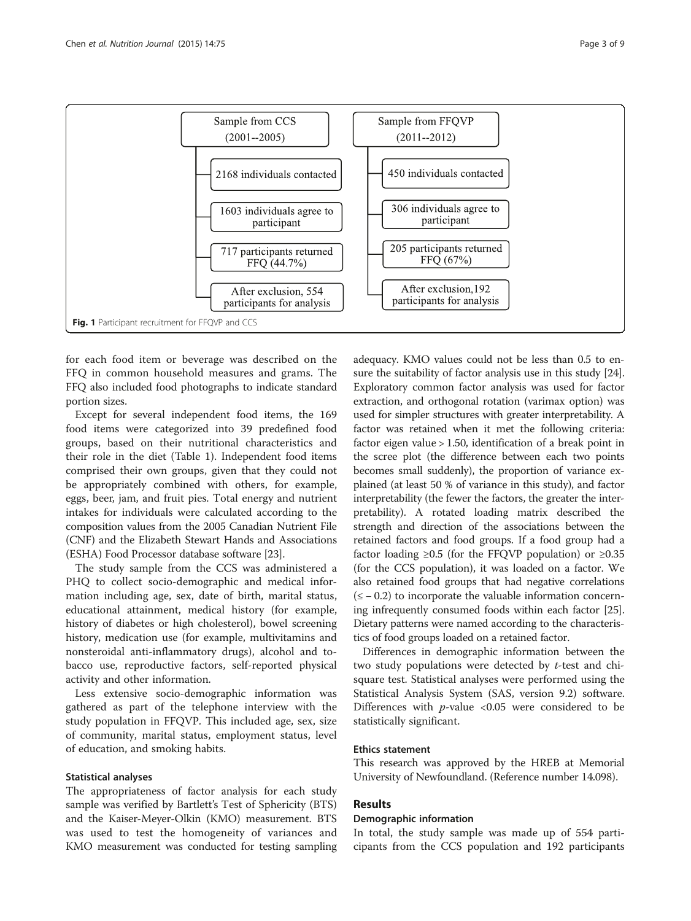<span id="page-2-0"></span>

for each food item or beverage was described on the FFQ in common household measures and grams. The FFQ also included food photographs to indicate standard portion sizes.

Except for several independent food items, the 169 food items were categorized into 39 predefined food groups, based on their nutritional characteristics and their role in the diet (Table [1\)](#page-3-0). Independent food items comprised their own groups, given that they could not be appropriately combined with others, for example, eggs, beer, jam, and fruit pies. Total energy and nutrient intakes for individuals were calculated according to the composition values from the 2005 Canadian Nutrient File (CNF) and the Elizabeth Stewart Hands and Associations (ESHA) Food Processor database software [[23](#page-7-0)].

The study sample from the CCS was administered a PHQ to collect socio-demographic and medical information including age, sex, date of birth, marital status, educational attainment, medical history (for example, history of diabetes or high cholesterol), bowel screening history, medication use (for example, multivitamins and nonsteroidal anti-inflammatory drugs), alcohol and tobacco use, reproductive factors, self-reported physical activity and other information.

Less extensive socio-demographic information was gathered as part of the telephone interview with the study population in FFQVP. This included age, sex, size of community, marital status, employment status, level of education, and smoking habits.

## Statistical analyses

The appropriateness of factor analysis for each study sample was verified by Bartlett's Test of Sphericity (BTS) and the Kaiser-Meyer-Olkin (KMO) measurement. BTS was used to test the homogeneity of variances and KMO measurement was conducted for testing sampling

adequacy. KMO values could not be less than 0.5 to ensure the suitability of factor analysis use in this study [[24](#page-7-0)]. Exploratory common factor analysis was used for factor extraction, and orthogonal rotation (varimax option) was used for simpler structures with greater interpretability. A factor was retained when it met the following criteria: factor eigen value > 1.50, identification of a break point in the scree plot (the difference between each two points becomes small suddenly), the proportion of variance explained (at least 50 % of variance in this study), and factor interpretability (the fewer the factors, the greater the interpretability). A rotated loading matrix described the strength and direction of the associations between the retained factors and food groups. If a food group had a factor loading  $\geq 0.5$  (for the FFQVP population) or  $\geq 0.35$ (for the CCS population), it was loaded on a factor. We also retained food groups that had negative correlations (≤ − 0.2) to incorporate the valuable information concerning infrequently consumed foods within each factor [[25](#page-7-0)]. Dietary patterns were named according to the characteristics of food groups loaded on a retained factor.

Differences in demographic information between the two study populations were detected by t-test and chisquare test. Statistical analyses were performed using the Statistical Analysis System (SAS, version 9.2) software. Differences with  $p$ -value <0.05 were considered to be statistically significant.

## Ethics statement

This research was approved by the HREB at Memorial University of Newfoundland. (Reference number 14.098).

## Results

#### Demographic information

In total, the study sample was made up of 554 participants from the CCS population and 192 participants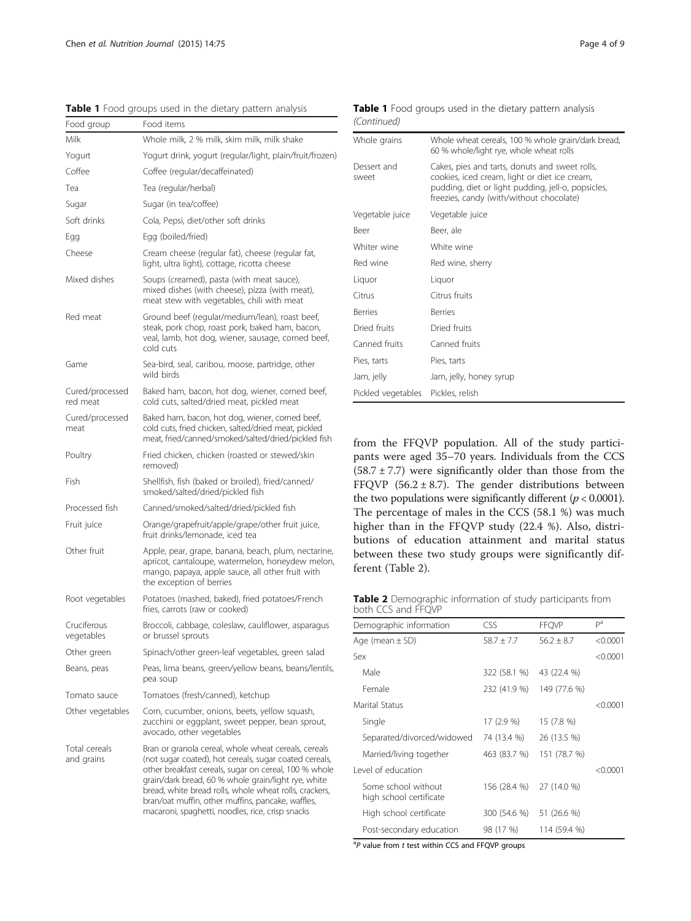<span id="page-3-0"></span>Table 1 Food groups used in the dietary pattern analysis

| Food group                  | Food items                                                                                                                                                                                                                                                                                                                                                                                        |
|-----------------------------|---------------------------------------------------------------------------------------------------------------------------------------------------------------------------------------------------------------------------------------------------------------------------------------------------------------------------------------------------------------------------------------------------|
| Milk                        | Whole milk, 2 % milk, skim milk, milk shake                                                                                                                                                                                                                                                                                                                                                       |
| Yogurt                      | Yogurt drink, yogurt (regular/light, plain/fruit/frozen)                                                                                                                                                                                                                                                                                                                                          |
| Coffee                      | Coffee (regular/decaffeinated)                                                                                                                                                                                                                                                                                                                                                                    |
| Tea                         | Tea (regular/herbal)                                                                                                                                                                                                                                                                                                                                                                              |
| Sugar                       | Sugar (in tea/coffee)                                                                                                                                                                                                                                                                                                                                                                             |
| Soft drinks                 | Cola, Pepsi, diet/other soft drinks                                                                                                                                                                                                                                                                                                                                                               |
| Egg                         | Egg (boiled/fried)                                                                                                                                                                                                                                                                                                                                                                                |
| Cheese                      | Cream cheese (regular fat), cheese (regular fat,<br>light, ultra light), cottage, ricotta cheese                                                                                                                                                                                                                                                                                                  |
| Mixed dishes                | Soups (creamed), pasta (with meat sauce),<br>mixed dishes (with cheese), pizza (with meat),<br>meat stew with vegetables, chili with meat                                                                                                                                                                                                                                                         |
| Red meat                    | Ground beef (regular/medium/lean), roast beef,<br>steak, pork chop, roast pork, baked ham, bacon,<br>veal, lamb, hot dog, wiener, sausage, corned beef,<br>cold cuts                                                                                                                                                                                                                              |
| Game                        | Sea-bird, seal, caribou, moose, partridge, other<br>wild birds                                                                                                                                                                                                                                                                                                                                    |
| Cured/processed<br>red meat | Baked ham, bacon, hot dog, wiener, corned beef,<br>cold cuts, salted/dried meat, pickled meat                                                                                                                                                                                                                                                                                                     |
| Cured/processed<br>meat     | Baked ham, bacon, hot dog, wiener, corned beef,<br>cold cuts, fried chicken, salted/dried meat, pickled<br>meat, fried/canned/smoked/salted/dried/pickled fish                                                                                                                                                                                                                                    |
| Poultry                     | Fried chicken, chicken (roasted or stewed/skin<br>removed)                                                                                                                                                                                                                                                                                                                                        |
| Fish                        | Shellfish, fish (baked or broiled), fried/canned/<br>smoked/salted/dried/pickled fish                                                                                                                                                                                                                                                                                                             |
| Processed fish              | Canned/smoked/salted/dried/pickled fish                                                                                                                                                                                                                                                                                                                                                           |
| Fruit juice                 | Orange/grapefruit/apple/grape/other fruit juice,<br>fruit drinks/lemonade, iced tea                                                                                                                                                                                                                                                                                                               |
| Other fruit                 | Apple, pear, grape, banana, beach, plum, nectarine,<br>apricot, cantaloupe, watermelon, honeydew melon,<br>mango, papaya, apple sauce, all other fruit with<br>the exception of berries                                                                                                                                                                                                           |
| Root vegetables             | Potatoes (mashed, baked), fried potatoes/French<br>fries, carrots (raw or cooked)                                                                                                                                                                                                                                                                                                                 |
| Cruciferous<br>vegetables   | Broccoli, cabbage, coleslaw, cauliflower, asparagus<br>or brussel sprouts                                                                                                                                                                                                                                                                                                                         |
| Other green                 | Spinach/other green-leaf vegetables, green salad                                                                                                                                                                                                                                                                                                                                                  |
| Beans, peas                 | Peas, lima beans, green/yellow beans, beans/lentils,<br>pea soup                                                                                                                                                                                                                                                                                                                                  |
| Tomato sauce                | Tomatoes (fresh/canned), ketchup                                                                                                                                                                                                                                                                                                                                                                  |
| Other vegetables            | Corn, cucumber, onions, beets, yellow squash,<br>zucchini or eggplant, sweet pepper, bean sprout,<br>avocado, other vegetables                                                                                                                                                                                                                                                                    |
| Total cereals<br>and grains | Bran or granola cereal, whole wheat cereals, cereals<br>(not sugar coated), hot cereals, sugar coated cereals,<br>other breakfast cereals, sugar on cereal, 100 % whole<br>grain/dark bread, 60 % whole grain/light rye, white<br>bread, white bread rolls, whole wheat rolls, crackers,<br>bran/oat muffin, other muffins, pancake, waffles,<br>macaroni, spaghetti, noodles, rice, crisp snacks |

Table 1 Food groups used in the dietary pattern analysis (Continued)

| Whole grains         | Whole wheat cereals, 100 % whole grain/dark bread,<br>60 % whole/light rye, whole wheat rolls                                                                                                     |
|----------------------|---------------------------------------------------------------------------------------------------------------------------------------------------------------------------------------------------|
| Dessert and<br>sweet | Cakes, pies and tarts, donuts and sweet rolls,<br>cookies, iced cream, light or diet ice cream,<br>pudding, diet or light pudding, jell-o, popsicles,<br>freezies, candy (with/without chocolate) |
| Vegetable juice      | Vegetable juice                                                                                                                                                                                   |
| Beer                 | Beer, ale                                                                                                                                                                                         |
| Whiter wine          | White wine                                                                                                                                                                                        |
| Red wine             | Red wine, sherry                                                                                                                                                                                  |
| Liquor               | Liquor                                                                                                                                                                                            |
| Citrus               | Citrus fruits                                                                                                                                                                                     |
| <b>Berries</b>       | <b>Berries</b>                                                                                                                                                                                    |
| Dried fruits         | Dried fruits                                                                                                                                                                                      |
| Canned fruits        | Canned fruits                                                                                                                                                                                     |
| Pies, tarts          | Pies, tarts                                                                                                                                                                                       |
| Jam, jelly           | Jam, jelly, honey syrup                                                                                                                                                                           |
| Pickled vegetables   | Pickles, relish                                                                                                                                                                                   |

from the FFQVP population. All of the study participants were aged 35–70 years. Individuals from the CCS  $(58.7 \pm 7.7)$  were significantly older than those from the FFQVP (56.2  $\pm$  8.7). The gender distributions between the two populations were significantly different ( $p < 0.0001$ ). The percentage of males in the CCS (58.1 %) was much higher than in the FFQVP study (22.4 %). Also, distributions of education attainment and marital status between these two study groups were significantly different (Table 2).

Table 2 Demographic information of study participants from both CCS and FFQVP

| Demographic information                        | <b>CSS</b>     | <b>FFOVP</b>   | Рª<br>< 0.0001 |  |
|------------------------------------------------|----------------|----------------|----------------|--|
| Age (mean $\pm$ SD)                            | $58.7 \pm 7.7$ | $56.2 \pm 8.7$ |                |  |
| Sex                                            |                |                | < 0.0001       |  |
| Male                                           | 322 (58.1 %)   | 43 (22.4 %)    |                |  |
| Female                                         | 232 (41.9 %)   | 149 (77.6 %)   |                |  |
| Marital Status                                 |                |                | < 0.0001       |  |
| Single                                         | 17 (2.9 %)     | 15 (7.8 %)     |                |  |
| Separated/divorced/widowed                     | 74 (13.4 %)    | 26 (13.5 %)    |                |  |
| Married/living together                        | 463 (83.7 %)   | 151 (78.7 %)   |                |  |
| I evel of education                            |                |                | < 0.0001       |  |
| Some school without<br>high school certificate | 156 (28.4 %)   | 27 (14.0 %)    |                |  |
| High school certificate                        | 300 (54.6 %)   | 51 (26.6 %)    |                |  |
| Post-secondary education                       | 98 (17 %)      | 114 (59.4 %)   |                |  |

<sup>a</sup>P value from t test within CCS and FFQVP groups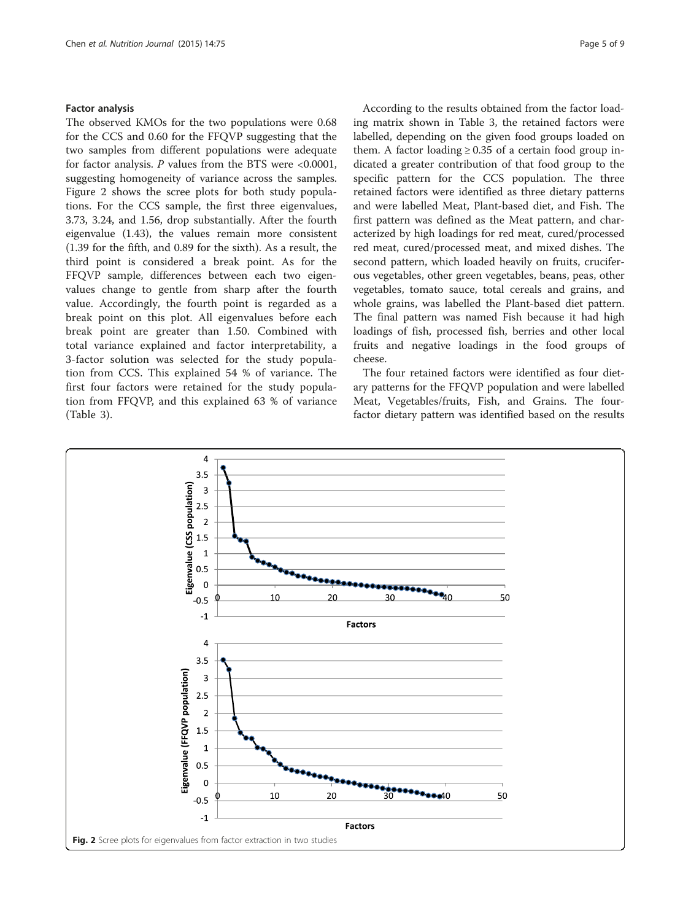#### Factor analysis

The observed KMOs for the two populations were 0.68 for the CCS and 0.60 for the FFQVP suggesting that the two samples from different populations were adequate for factor analysis.  $P$  values from the BTS were <0.0001, suggesting homogeneity of variance across the samples. Figure 2 shows the scree plots for both study populations. For the CCS sample, the first three eigenvalues, 3.73, 3.24, and 1.56, drop substantially. After the fourth eigenvalue (1.43), the values remain more consistent (1.39 for the fifth, and 0.89 for the sixth). As a result, the third point is considered a break point. As for the FFQVP sample, differences between each two eigenvalues change to gentle from sharp after the fourth value. Accordingly, the fourth point is regarded as a break point on this plot. All eigenvalues before each break point are greater than 1.50. Combined with total variance explained and factor interpretability, a 3-factor solution was selected for the study population from CCS. This explained 54 % of variance. The first four factors were retained for the study population from FFQVP, and this explained 63 % of variance (Table [3\)](#page-5-0).

According to the results obtained from the factor loading matrix shown in Table [3,](#page-5-0) the retained factors were labelled, depending on the given food groups loaded on them. A factor loading  $\geq 0.35$  of a certain food group indicated a greater contribution of that food group to the specific pattern for the CCS population. The three retained factors were identified as three dietary patterns and were labelled Meat, Plant-based diet, and Fish. The first pattern was defined as the Meat pattern, and characterized by high loadings for red meat, cured/processed red meat, cured/processed meat, and mixed dishes. The second pattern, which loaded heavily on fruits, cruciferous vegetables, other green vegetables, beans, peas, other vegetables, tomato sauce, total cereals and grains, and whole grains, was labelled the Plant-based diet pattern. The final pattern was named Fish because it had high loadings of fish, processed fish, berries and other local fruits and negative loadings in the food groups of cheese.

The four retained factors were identified as four dietary patterns for the FFQVP population and were labelled Meat, Vegetables/fruits, Fish, and Grains. The fourfactor dietary pattern was identified based on the results

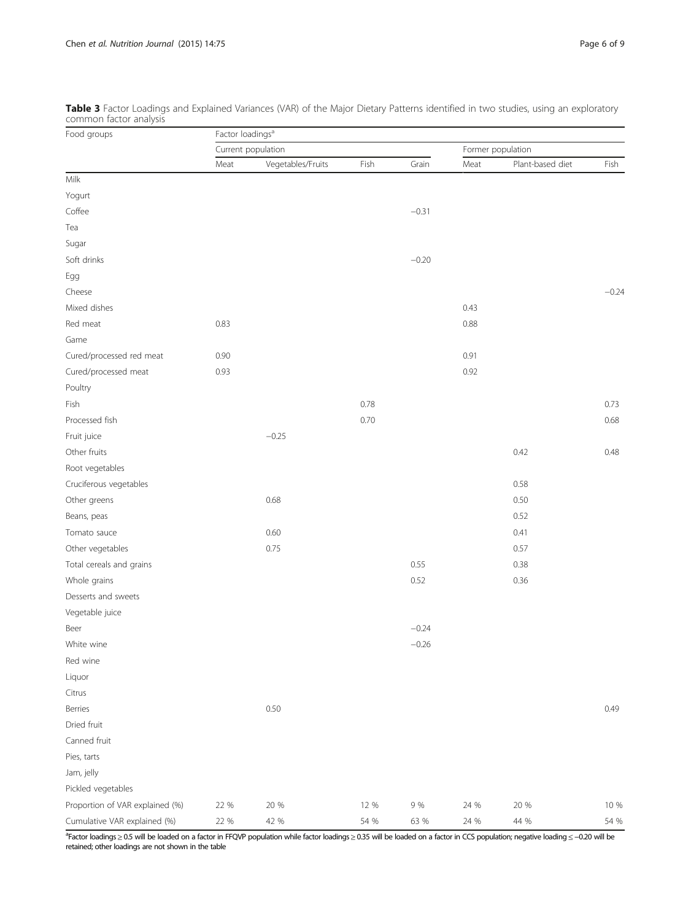| Food groups                     | Factor loadings <sup>a</sup> |                   |                   |         |      |                  |         |  |  |
|---------------------------------|------------------------------|-------------------|-------------------|---------|------|------------------|---------|--|--|
|                                 | Current population           |                   | Former population |         |      |                  |         |  |  |
|                                 | Meat                         | Vegetables/Fruits | Fish              | Grain   | Meat | Plant-based diet | Fish    |  |  |
| Milk                            |                              |                   |                   |         |      |                  |         |  |  |
| Yogurt                          |                              |                   |                   |         |      |                  |         |  |  |
| Coffee                          |                              |                   |                   | $-0.31$ |      |                  |         |  |  |
| Tea                             |                              |                   |                   |         |      |                  |         |  |  |
| Sugar                           |                              |                   |                   |         |      |                  |         |  |  |
| Soft drinks                     |                              |                   |                   | $-0.20$ |      |                  |         |  |  |
| Egg                             |                              |                   |                   |         |      |                  |         |  |  |
| Cheese                          |                              |                   |                   |         |      |                  | $-0.24$ |  |  |
| Mixed dishes                    |                              |                   |                   |         | 0.43 |                  |         |  |  |
| Red meat                        | 0.83                         |                   |                   |         | 0.88 |                  |         |  |  |
| Game                            |                              |                   |                   |         |      |                  |         |  |  |
| Cured/processed red meat        | 0.90                         |                   |                   |         | 0.91 |                  |         |  |  |
| Cured/processed meat            | 0.93                         |                   |                   |         | 0.92 |                  |         |  |  |
| Poultry                         |                              |                   |                   |         |      |                  |         |  |  |
| Fish                            |                              |                   | 0.78              |         |      |                  | 0.73    |  |  |
| Processed fish                  |                              |                   | 0.70              |         |      |                  | 0.68    |  |  |
| Fruit juice                     |                              | $-0.25$           |                   |         |      |                  |         |  |  |
| Other fruits                    |                              |                   |                   |         |      | 0.42             | 0.48    |  |  |
| Root vegetables                 |                              |                   |                   |         |      |                  |         |  |  |
| Cruciferous vegetables          |                              |                   |                   |         |      | 0.58             |         |  |  |
| Other greens                    |                              | 0.68              |                   |         |      | 0.50             |         |  |  |
| Beans, peas                     |                              |                   |                   |         |      | 0.52             |         |  |  |
| Tomato sauce                    |                              | 0.60              |                   |         |      | 0.41             |         |  |  |
| Other vegetables                |                              | 0.75              |                   |         |      | 0.57             |         |  |  |
| Total cereals and grains        |                              |                   |                   | 0.55    |      | 0.38             |         |  |  |
| Whole grains                    |                              |                   |                   | 0.52    |      | 0.36             |         |  |  |
| Desserts and sweets             |                              |                   |                   |         |      |                  |         |  |  |
| Vegetable juice                 |                              |                   |                   |         |      |                  |         |  |  |
| Beer                            |                              |                   |                   | $-0.24$ |      |                  |         |  |  |
| White wine                      |                              |                   |                   | $-0.26$ |      |                  |         |  |  |
| Red wine                        |                              |                   |                   |         |      |                  |         |  |  |
| Liquor                          |                              |                   |                   |         |      |                  |         |  |  |
| Citrus                          |                              |                   |                   |         |      |                  |         |  |  |
| Berries                         |                              | 0.50              |                   |         |      |                  | 0.49    |  |  |
| Dried fruit                     |                              |                   |                   |         |      |                  |         |  |  |
| Canned fruit                    |                              |                   |                   |         |      |                  |         |  |  |
| Pies, tarts                     |                              |                   |                   |         |      |                  |         |  |  |
| Jam, jelly                      |                              |                   |                   |         |      |                  |         |  |  |
| Pickled vegetables              |                              |                   |                   |         |      |                  |         |  |  |
| Proportion of VAR explained (%) | 22 %                         | 20 %              | 12 %              | $9\%$   | 24 % | 20 %             | 10 %    |  |  |
| Cumulative VAR explained (%)    | 22 %                         | 42 %              | 54 %              | 63 %    | 24 % | 44 %             | 54 %    |  |  |

<span id="page-5-0"></span>Table 3 Factor Loadings and Explained Variances (VAR) of the Major Dietary Patterns identified in two studies, using an exploratory common factor analysis

<sup>a</sup>Factor loadings ≥ 0.5 will be loaded on a factor in FFQVP population while factor loadings ≥ 0.35 will be loaded on a factor in CCS population; negative loading ≤ –0.20 will be retained; other loadings are not shown in the table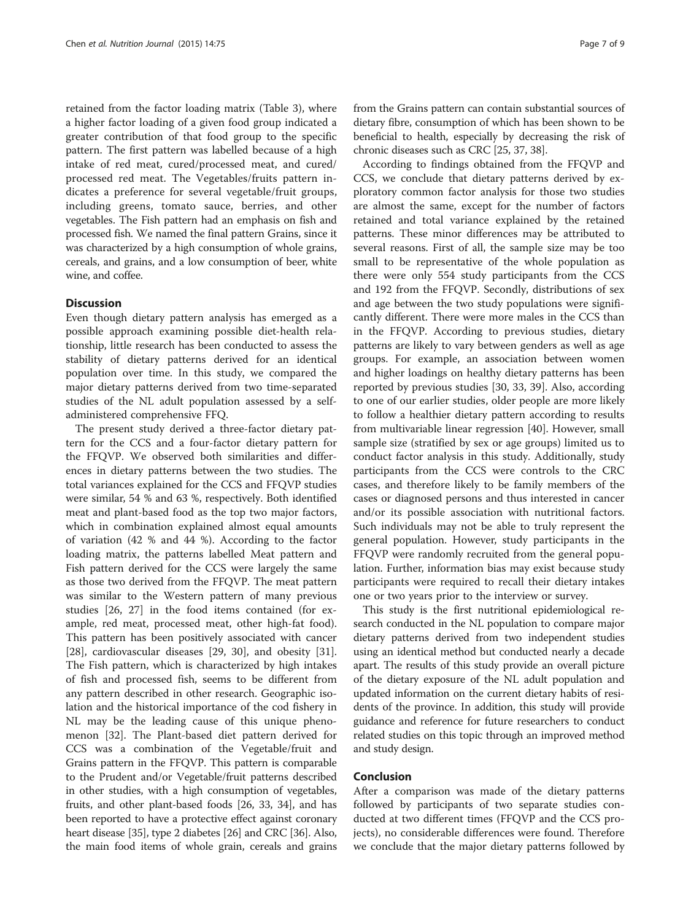retained from the factor loading matrix (Table [3](#page-5-0)), where a higher factor loading of a given food group indicated a greater contribution of that food group to the specific pattern. The first pattern was labelled because of a high intake of red meat, cured/processed meat, and cured/ processed red meat. The Vegetables/fruits pattern indicates a preference for several vegetable/fruit groups, including greens, tomato sauce, berries, and other vegetables. The Fish pattern had an emphasis on fish and processed fish. We named the final pattern Grains, since it was characterized by a high consumption of whole grains, cereals, and grains, and a low consumption of beer, white wine, and coffee.

#### **Discussion**

Even though dietary pattern analysis has emerged as a possible approach examining possible diet-health relationship, little research has been conducted to assess the stability of dietary patterns derived for an identical population over time. In this study, we compared the major dietary patterns derived from two time-separated studies of the NL adult population assessed by a selfadministered comprehensive FFQ.

The present study derived a three-factor dietary pattern for the CCS and a four-factor dietary pattern for the FFQVP. We observed both similarities and differences in dietary patterns between the two studies. The total variances explained for the CCS and FFQVP studies were similar, 54 % and 63 %, respectively. Both identified meat and plant-based food as the top two major factors, which in combination explained almost equal amounts of variation (42 % and 44 %). According to the factor loading matrix, the patterns labelled Meat pattern and Fish pattern derived for the CCS were largely the same as those two derived from the FFQVP. The meat pattern was similar to the Western pattern of many previous studies [\[26](#page-7-0), [27\]](#page-7-0) in the food items contained (for example, red meat, processed meat, other high-fat food). This pattern has been positively associated with cancer [[28\]](#page-7-0), cardiovascular diseases [[29, 30](#page-7-0)], and obesity [\[31](#page-7-0)]. The Fish pattern, which is characterized by high intakes of fish and processed fish, seems to be different from any pattern described in other research. Geographic isolation and the historical importance of the cod fishery in NL may be the leading cause of this unique phenomenon [[32\]](#page-7-0). The Plant-based diet pattern derived for CCS was a combination of the Vegetable/fruit and Grains pattern in the FFQVP. This pattern is comparable to the Prudent and/or Vegetable/fruit patterns described in other studies, with a high consumption of vegetables, fruits, and other plant-based foods [[26](#page-7-0), [33](#page-7-0), [34\]](#page-7-0), and has been reported to have a protective effect against coronary heart disease [\[35](#page-8-0)], type 2 diabetes [[26](#page-7-0)] and CRC [\[36\]](#page-8-0). Also, the main food items of whole grain, cereals and grains from the Grains pattern can contain substantial sources of dietary fibre, consumption of which has been shown to be beneficial to health, especially by decreasing the risk of chronic diseases such as CRC [[25](#page-7-0), [37, 38\]](#page-8-0).

According to findings obtained from the FFQVP and CCS, we conclude that dietary patterns derived by exploratory common factor analysis for those two studies are almost the same, except for the number of factors retained and total variance explained by the retained patterns. These minor differences may be attributed to several reasons. First of all, the sample size may be too small to be representative of the whole population as there were only 554 study participants from the CCS and 192 from the FFQVP. Secondly, distributions of sex and age between the two study populations were significantly different. There were more males in the CCS than in the FFQVP. According to previous studies, dietary patterns are likely to vary between genders as well as age groups. For example, an association between women and higher loadings on healthy dietary patterns has been reported by previous studies [\[30, 33,](#page-7-0) [39\]](#page-8-0). Also, according to one of our earlier studies, older people are more likely to follow a healthier dietary pattern according to results from multivariable linear regression [[40\]](#page-8-0). However, small sample size (stratified by sex or age groups) limited us to conduct factor analysis in this study. Additionally, study participants from the CCS were controls to the CRC cases, and therefore likely to be family members of the cases or diagnosed persons and thus interested in cancer and/or its possible association with nutritional factors. Such individuals may not be able to truly represent the general population. However, study participants in the FFQVP were randomly recruited from the general population. Further, information bias may exist because study participants were required to recall their dietary intakes one or two years prior to the interview or survey.

This study is the first nutritional epidemiological research conducted in the NL population to compare major dietary patterns derived from two independent studies using an identical method but conducted nearly a decade apart. The results of this study provide an overall picture of the dietary exposure of the NL adult population and updated information on the current dietary habits of residents of the province. In addition, this study will provide guidance and reference for future researchers to conduct related studies on this topic through an improved method and study design.

## Conclusion

After a comparison was made of the dietary patterns followed by participants of two separate studies conducted at two different times (FFQVP and the CCS projects), no considerable differences were found. Therefore we conclude that the major dietary patterns followed by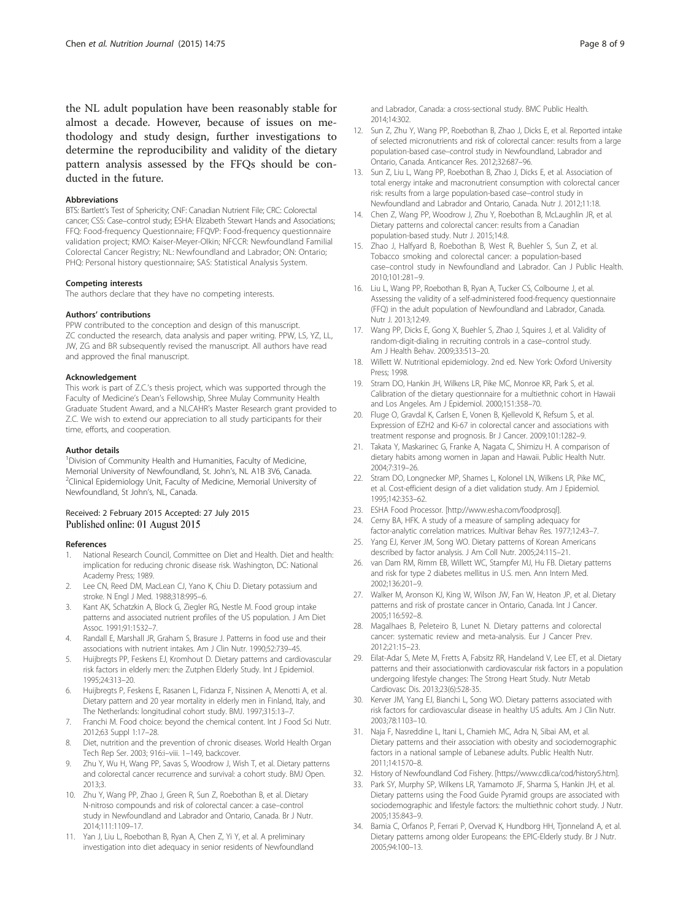<span id="page-7-0"></span>the NL adult population have been reasonably stable for almost a decade. However, because of issues on methodology and study design, further investigations to determine the reproducibility and validity of the dietary pattern analysis assessed by the FFQs should be conducted in the future.

#### **Abbreviations**

BTS: Bartlett's Test of Sphericity; CNF: Canadian Nutrient File; CRC: Colorectal cancer; CSS: Case–control study; ESHA: Elizabeth Stewart Hands and Associations; FFQ: Food-frequency Questionnaire; FFQVP: Food-frequency questionnaire validation project; KMO: Kaiser-Meyer-Olkin; NFCCR: Newfoundland Familial Colorectal Cancer Registry; NL: Newfoundland and Labrador; ON: Ontario; PHQ: Personal history questionnaire; SAS: Statistical Analysis System.

#### Competing interests

The authors declare that they have no competing interests.

#### Authors' contributions

PPW contributed to the conception and design of this manuscript. ZC conducted the research, data analysis and paper writing. PPW, LS, YZ, LL, JW, ZG and BR subsequently revised the manuscript. All authors have read and approved the final manuscript.

#### Acknowledgement

This work is part of Z.C.'s thesis project, which was supported through the Faculty of Medicine's Dean's Fellowship, Shree Mulay Community Health Graduate Student Award, and a NLCAHR's Master Research grant provided to Z.C. We wish to extend our appreciation to all study participants for their time, efforts, and cooperation.

#### Author details

<sup>1</sup> Division of Community Health and Humanities, Faculty of Medicine, Memorial University of Newfoundland, St. John's, NL A1B 3V6, Canada. <sup>2</sup> <sup>2</sup>Clinical Epidemiology Unit, Faculty of Medicine, Memorial University of Newfoundland, St John's, NL, Canada.

#### Received: 2 February 2015 Accepted: 27 July 2015 Published online: 01 August 2015

#### References

- 1. National Research Council, Committee on Diet and Health. Diet and health: implication for reducing chronic disease risk. Washington, DC: National Academy Press; 1989.
- 2. Lee CN, Reed DM, MacLean CJ, Yano K, Chiu D. Dietary potassium and stroke. N Engl J Med. 1988;318:995–6.
- Kant AK, Schatzkin A, Block G, Ziegler RG, Nestle M. Food group intake patterns and associated nutrient profiles of the US population. J Am Diet Assoc. 1991;91:1532–7.
- 4. Randall E, Marshall JR, Graham S, Brasure J. Patterns in food use and their associations with nutrient intakes. Am J Clin Nutr. 1990;52:739–45.
- 5. Huijbregts PP, Feskens EJ, Kromhout D. Dietary patterns and cardiovascular risk factors in elderly men: the Zutphen Elderly Study. Int J Epidemiol. 1995;24:313–20.
- 6. Huijbregts P, Feskens E, Rasanen L, Fidanza F, Nissinen A, Menotti A, et al. Dietary pattern and 20 year mortality in elderly men in Finland, Italy, and The Netherlands: longitudinal cohort study. BMJ. 1997;315:13–7.
- 7. Franchi M. Food choice: beyond the chemical content. Int J Food Sci Nutr. 2012;63 Suppl 1:17–28.
- 8. Diet, nutrition and the prevention of chronic diseases. World Health Organ Tech Rep Ser. 2003; 916:i–viii. 1–149, backcover.
- Zhu Y, Wu H, Wang PP, Savas S, Woodrow J, Wish T, et al. Dietary patterns and colorectal cancer recurrence and survival: a cohort study. BMJ Open. 2013;3.
- 10. Zhu Y, Wang PP, Zhao J, Green R, Sun Z, Roebothan B, et al. Dietary N-nitroso compounds and risk of colorectal cancer: a case–control study in Newfoundland and Labrador and Ontario, Canada. Br J Nutr. 2014;111:1109–17.
- 11. Yan J, Liu L, Roebothan B, Ryan A, Chen Z, Yi Y, et al. A preliminary investigation into diet adequacy in senior residents of Newfoundland

and Labrador, Canada: a cross-sectional study. BMC Public Health. 2014;14:302.

- 12. Sun Z, Zhu Y, Wang PP, Roebothan B, Zhao J, Dicks E, et al. Reported intake of selected micronutrients and risk of colorectal cancer: results from a large population-based case–control study in Newfoundland, Labrador and Ontario, Canada. Anticancer Res. 2012;32:687–96.
- 13. Sun Z, Liu L, Wang PP, Roebothan B, Zhao J, Dicks E, et al. Association of total energy intake and macronutrient consumption with colorectal cancer risk: results from a large population-based case–control study in Newfoundland and Labrador and Ontario, Canada. Nutr J. 2012;11:18.
- 14. Chen Z, Wang PP, Woodrow J, Zhu Y, Roebothan B, McLaughlin JR, et al. Dietary patterns and colorectal cancer: results from a Canadian population-based study. Nutr J. 2015;14:8.
- 15. Zhao J, Halfyard B, Roebothan B, West R, Buehler S, Sun Z, et al. Tobacco smoking and colorectal cancer: a population-based case–control study in Newfoundland and Labrador. Can J Public Health. 2010;101:281–9.
- 16. Liu L, Wang PP, Roebothan B, Ryan A, Tucker CS, Colbourne J, et al. Assessing the validity of a self-administered food-frequency questionnaire (FFQ) in the adult population of Newfoundland and Labrador, Canada. Nutr J. 2013;12:49.
- 17. Wang PP, Dicks E, Gong X, Buehler S, Zhao J, Squires J, et al. Validity of random-digit-dialing in recruiting controls in a case–control study. Am J Health Behav. 2009;33:513–20.
- 18. Willett W. Nutritional epidemiology. 2nd ed. New York: Oxford University Press; 1998.
- 19. Stram DO, Hankin JH, Wilkens LR, Pike MC, Monroe KR, Park S, et al. Calibration of the dietary questionnaire for a multiethnic cohort in Hawaii and Los Angeles. Am J Epidemiol. 2000;151:358–70.
- 20. Fluge O, Gravdal K, Carlsen E, Vonen B, Kjellevold K, Refsum S, et al. Expression of EZH2 and Ki-67 in colorectal cancer and associations with treatment response and prognosis. Br J Cancer. 2009;101:1282–9.
- 21. Takata Y, Maskarinec G, Franke A, Nagata C, Shimizu H. A comparison of dietary habits among women in Japan and Hawaii. Public Health Nutr. 2004;7:319–26.
- 22. Stram DO, Longnecker MP, Shames L, Kolonel LN, Wilkens LR, Pike MC, et al. Cost-efficient design of a diet validation study. Am J Epidemiol. 1995;142:353–62.
- 23. ESHA Food Processor. [\[http://www.esha.com/foodprosql\]](http://www.esha.com/foodprosql).
- 24. Cerny BA, HFK. A study of a measure of sampling adequacy for factor-analytic correlation matrices. Multivar Behav Res. 1977;12:43–7.
- 25. Yang EJ, Kerver JM, Song WO. Dietary patterns of Korean Americans described by factor analysis. J Am Coll Nutr. 2005;24:115–21.
- 26. van Dam RM, Rimm EB, Willett WC, Stampfer MJ, Hu FB. Dietary patterns and risk for type 2 diabetes mellitus in U.S. men. Ann Intern Med. 2002;136:201–9.
- 27. Walker M, Aronson KJ, King W, Wilson JW, Fan W, Heaton JP, et al. Dietary patterns and risk of prostate cancer in Ontario, Canada. Int J Cancer. 2005;116:592–8.
- 28. Magalhaes B, Peleteiro B, Lunet N. Dietary patterns and colorectal cancer: systematic review and meta-analysis. Eur J Cancer Prev. 2012;21:15–23.
- 29. Eilat-Adar S, Mete M, Fretts A, Fabsitz RR, Handeland V, Lee ET, et al. Dietary patterns and their associationwith cardiovascular risk factors in a population undergoing lifestyle changes: The Strong Heart Study. Nutr Metab Cardiovasc Dis. 2013;23(6):528-35.
- 30. Kerver JM, Yang EJ, Bianchi L, Song WO. Dietary patterns associated with risk factors for cardiovascular disease in healthy US adults. Am J Clin Nutr. 2003;78:1103–10.
- 31. Naja F, Nasreddine L, Itani L, Chamieh MC, Adra N, Sibai AM, et al. Dietary patterns and their association with obesity and sociodemographic factors in a national sample of Lebanese adults. Public Health Nutr. 2011;14:1570–8.
- 32. History of Newfoundland Cod Fishery. [\[https://www.cdli.ca/cod/history5.htm\]](https://www.cdli.ca/cod/history5.htm).
- 33. Park SY, Murphy SP, Wilkens LR, Yamamoto JF, Sharma S, Hankin JH, et al. Dietary patterns using the Food Guide Pyramid groups are associated with sociodemographic and lifestyle factors: the multiethnic cohort study. J Nutr. 2005;135:843–9.
- 34. Bamia C, Orfanos P, Ferrari P, Overvad K, Hundborg HH, Tjonneland A, et al. Dietary patterns among older Europeans: the EPIC-Elderly study. Br J Nutr. 2005;94:100–13.